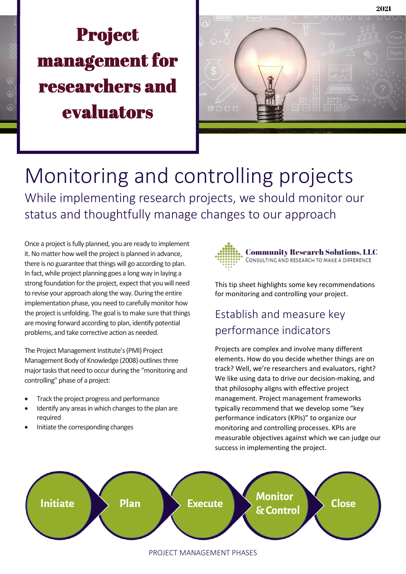### **D**poiest  $\mathbf{m} = -\mathbf{y} - \mathbf{y}$ strengthender estal the san<br>research products Project management for researchers and evaluators



# Monitoring and controlling projects While implementing research projects, we should monitor our status and thoughtfully manage changes to our approach

Once a project is fully planned, you are ready to implement it. No matter how well the project is planned in advance, there is no guarantee that things will go according to plan. In fact, while project planning goes a long way in laying a strong foundation for the project, expect that you will need to revise your approach along the way. During the entire implementation phase, you need to carefully monitor how the project is unfolding. The goal is to make sure that things are moving forward according to plan, identify potential problems, and take corrective action as needed.

The Project Management Institute's (PMI) Project Management Body of Knowledge (2008) outlines three major tasks that need to occur during the "monitoring and controlling" phase of a project:

- Track the project progress and performance
- Identify any areas in which changes to the plan are required
- Initiate the corresponding changes



This tip sheet highlights some key recommendations for monitoring and controlling your project.

## Establish and measure key performance indicators

Projects are complex and involve many different elements. How do you decide whether things are on track? Well, we're researchers and evaluators, right? We like using data to drive our decision-making, and that philosophy aligns with effective project management. Project management frameworks typically recommend that we develop some "key performance indicators (KPIs)" to organize our monitoring and controlling processes. KPIs are measurable objectives against which we can judge our success in implementing the project.



#### PROJECT MANAGEMENT PHASES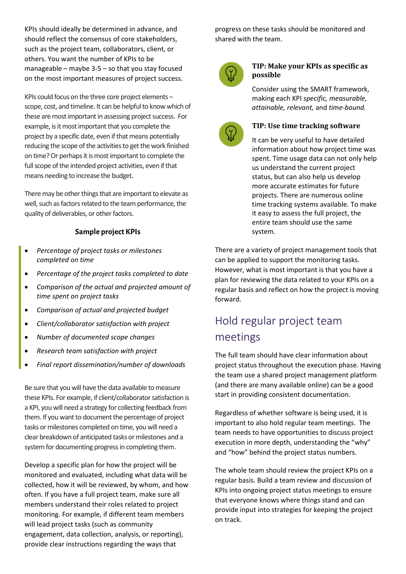KPIs should ideally be determined in advance, and should reflect the consensus of core stakeholders, such as the project team, collaborators, client, or others. You want the number of KPIs to be manageable – maybe 3-5 – so that you stay focused on the most important measures of project success.

KPIs could focus on the three core project elements – scope, cost, and timeline. It can be helpful to know which of these are most important in assessing project success. For example, is it most important that you complete the project by a specific date, even if that means potentially reducing the scope of the activities to get the work finished on time? Or perhaps it is most important to complete the full scope of the intended project activities, even if that means needing to increase the budget.

There may be other things that are important to elevate as well, such as factors related to the team performance, the quality of deliverables, or other factors.

#### **Sample project KPIs**

- *Percentage of project tasks or milestones completed on time*
- *Percentage of the project tasks completed to date*
- *Comparison of the actual and projected amount of time spent on project tasks*
- *Comparison of actual and projected budget*
- *Client/collaborator satisfaction with project*
- *Number of documented scope changes*
- *Research team satisfaction with project*
- *Final report dissemination/number of downloads*

Be sure that you will have the data available to measure these KPIs. For example, if client/collaborator satisfaction is a KPI, you will need a strategy for collecting feedback from them. If you want to document the percentage of project tasks or milestones completed on time, you will need a clear breakdown of anticipated tasks or milestones and a system for documenting progress in completing them.

Develop a specific plan for how the project will be monitored and evaluated, including what data will be collected, how it will be reviewed, by whom, and how often. If you have a full project team, make sure all members understand their roles related to project monitoring. For example, if different team members will lead project tasks (such as community engagement, data collection, analysis, or reporting), provide clear instructions regarding the ways that

progress on these tasks should be monitored and shared with the team.



#### **TIP: Make your KPIs as specific as possible**

Consider using the SMART framework, making each KPI *specific, measurable, attainable, relevant,* and *time-bound.* 



#### **TIP: Use time tracking software**

It can be very useful to have detailed information about how project time was spent. Time usage data can not only help us understand the current project status, but can also help us develop more accurate estimates for future projects. There are numerous online time tracking systems available. To make it easy to assess the full project, the entire team should use the same system.

There are a variety of project management tools that can be applied to support the monitoring tasks. However, what is most important is that you have a plan for reviewing the data related to your KPIs on a regular basis and reflect on how the project is moving forward.

### Hold regular project team meetings

The full team should have clear information about project status throughout the execution phase. Having the team use a shared project management platform (and there are many available online) can be a good start in providing consistent documentation.

Regardless of whether software is being used, it is important to also hold regular team meetings. The team needs to have opportunities to discuss project execution in more depth, understanding the "why" and "how" behind the project status numbers.

The whole team should review the project KPIs on a regular basis. Build a team review and discussion of KPIs into ongoing project status meetings to ensure that everyone knows where things stand and can provide input into strategies for keeping the project on track.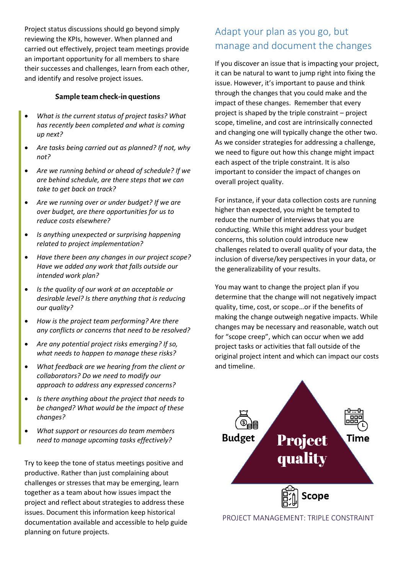Project status discussions should go beyond simply reviewing the KPIs, however. When planned and carried out effectively, project team meetings provide an important opportunity for all members to share their successes and challenges, learn from each other, and identify and resolve project issues.

#### **Sample team check-in questions**

- *What is the current status of project tasks? What has recently been completed and what is coming up next?*
- *Are tasks being carried out as planned? If not, why not?*
- *Are we running behind or ahead of schedule? If we are behind schedule, are there steps that we can take to get back on track?*
- *Are we running over or under budget? If we are over budget, are there opportunities for us to reduce costs elsewhere?*
- *Is anything unexpected or surprising happening related to project implementation?*
- *Have there been any changes in our project scope? Have we added any work that falls outside our intended work plan?*
- *Is the quality of our work at an acceptable or desirable level? Is there anything that is reducing our quality?*
- *How is the project team performing? Are there any conflicts or concerns that need to be resolved?*
- *Are any potential project risks emerging? If so, what needs to happen to manage these risks?*
- *What feedback are we hearing from the client or collaborators? Do we need to modify our approach to address any expressed concerns?*
- *Is there anything about the project that needs to be changed? What would be the impact of these changes?*
- *What support or resources do team members need to manage upcoming tasks effectively?*

Try to keep the tone of status meetings positive and productive. Rather than just complaining about challenges or stresses that may be emerging, learn together as a team about how issues impact the project and reflect about strategies to address these issues. Document this information keep historical documentation available and accessible to help guide planning on future projects.

### Adapt your plan as you go, but manage and document the changes

If you discover an issue that is impacting your project, it can be natural to want to jump right into fixing the issue. However, it's important to pause and think through the changes that you could make and the impact of these changes. Remember that every project is shaped by the triple constraint – project scope, timeline, and cost are intrinsically connected and changing one will typically change the other two. As we consider strategies for addressing a challenge, we need to figure out how this change might impact each aspect of the triple constraint. It is also important to consider the impact of changes on overall project quality.

For instance, if your data collection costs are running higher than expected, you might be tempted to reduce the number of interviews that you are conducting. While this might address your budget concerns, this solution could introduce new challenges related to overall quality of your data, the inclusion of diverse/key perspectives in your data, or the generalizability of your results.

You may want to change the project plan if you determine that the change will not negatively impact quality, time, cost, or scope…or if the benefits of making the change outweigh negative impacts. While changes may be necessary and reasonable, watch out for "scope creep", which can occur when we add project tasks or activities that fall outside of the original project intent and which can impact our costs and timeline.



PROJECT MANAGEMENT: TRIPLE CONSTRAINT